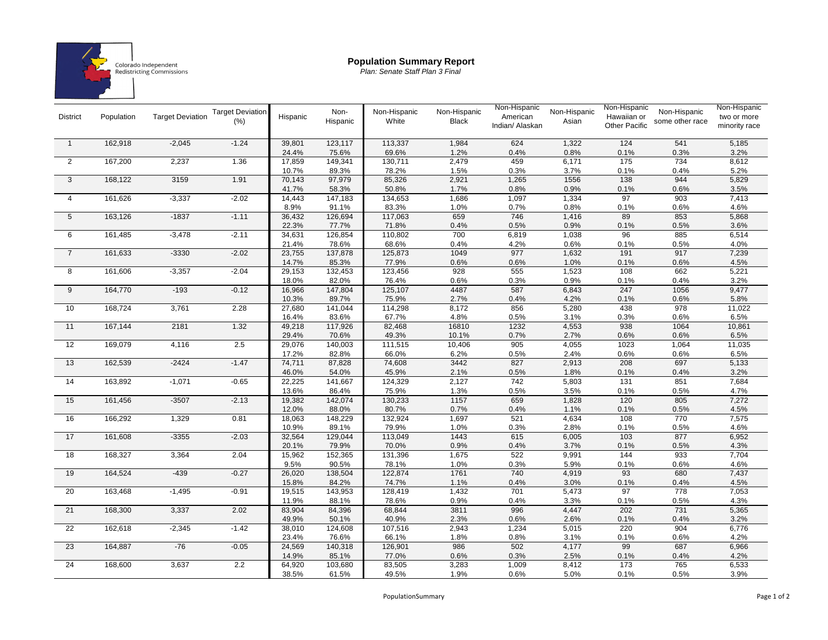

## **Population Summary Report**

*Plan: Senate Staff Plan 3 Final*

| <b>District</b> | Population | <b>Target Deviation</b> | <b>Target Deviation</b><br>(% ) | Hispanic        | Non-<br>Hispanic | Non-Hispanic<br>White | Non-Hispanic<br><b>Black</b> | Non-Hispanic<br>American<br>Indian/ Alaskan | Non-Hispanic<br>Asian | Non-Hispanic<br>Hawaiian or<br><b>Other Pacific</b> | Non-Hispanic<br>some other race | Non-Hispanic<br>two or more<br>minority race |
|-----------------|------------|-------------------------|---------------------------------|-----------------|------------------|-----------------------|------------------------------|---------------------------------------------|-----------------------|-----------------------------------------------------|---------------------------------|----------------------------------------------|
| $\overline{1}$  | 162,918    | $-2,045$                | $-1.24$                         | 39,801          | 123,117          | 113,337               | 1,984                        | 624                                         | 1,322                 | 124                                                 | 541                             | 5,185                                        |
|                 |            |                         |                                 | 24.4%           | 75.6%            | 69.6%                 | 1.2%                         | 0.4%                                        | 0.8%                  | 0.1%                                                | 0.3%                            | 3.2%                                         |
| 2               | 167,200    | 2,237                   | 1.36                            | 17,859          | 149,341          | 130,711               | 2,479                        | 459                                         | 6,171                 | 175                                                 | 734                             | 8,612                                        |
|                 |            |                         |                                 | 10.7%           | 89.3%            | 78.2%                 | 1.5%                         | 0.3%                                        | 3.7%                  | 0.1%                                                | 0.4%                            | 5.2%                                         |
| 3               | 168,122    | 3159                    | 1.91                            | 70,143          | 97,979           | 85,326                | 2,921                        | 1,265                                       | 1556                  | 138                                                 | 944                             | 5,829                                        |
|                 |            |                         |                                 | 41.7%           | 58.3%            | 50.8%                 | 1.7%                         | 0.8%                                        | 0.9%                  | 0.1%                                                | 0.6%                            | 3.5%                                         |
| $\overline{4}$  | 161,626    | $-3,337$                | $-2.02$                         | 14,443          | 147,183          | 134,653               | 1,686                        | 1,097                                       | 1,334                 | 97                                                  | 903                             | 7,413                                        |
|                 |            |                         |                                 | 8.9%            | 91.1%            | 83.3%                 | 1.0%                         | 0.7%                                        | 0.8%                  | 0.1%                                                | 0.6%                            | 4.6%                                         |
| 5               | 163,126    | $-1837$                 | $-1.11$                         | 36,432          | 126,694          | 117,063               | 659                          | 746                                         | 1,416                 | 89                                                  | 853                             | 5,868                                        |
|                 |            |                         |                                 | 22.3%           | 77.7%            | 71.8%                 | 0.4%                         | 0.5%                                        | 0.9%                  | 0.1%                                                | 0.5%                            | 3.6%                                         |
| 6               | 161,485    | $-3,478$                | $-2.11$                         | 34,631          | 126,854          | 110,802               | 700                          | 6,819                                       | 1,038                 | 96                                                  | 885                             | 6,514                                        |
|                 |            |                         |                                 | 21.4%           | 78.6%            | 68.6%                 | 0.4%                         | 4.2%                                        | 0.6%                  | 0.1%                                                | 0.5%                            | 4.0%                                         |
| $\overline{7}$  | 161,633    | $-3330$                 | $-2.02$                         | 23,755          | 137,878          | 125,873               | 1049                         | 977                                         | 1,632                 | 191                                                 | 917                             | 7,239                                        |
|                 |            |                         |                                 | 14.7%           | 85.3%            | 77.9%                 | 0.6%                         | 0.6%                                        | 1.0%                  | 0.1%                                                | 0.6%                            | 4.5%                                         |
| 8               | 161,606    | $-3,357$                | $-2.04$                         | 29,153          | 132,453          | 123,456               | 928                          | 555                                         | 1,523                 | 108                                                 | 662                             | 5,221                                        |
|                 |            |                         |                                 | 18.0%           | 82.0%            | 76.4%                 | 0.6%                         | 0.3%                                        | 0.9%                  | 0.1%                                                | 0.4%                            | 3.2%                                         |
| 9               | 164,770    | $-193$                  | $-0.12$                         | 16,966          | 147,804          | 125,107               | 4487                         | 587                                         | 6,843                 | 247                                                 | 1056                            | 9,477                                        |
|                 |            |                         |                                 | 10.3%           | 89.7%            | 75.9%                 | 2.7%                         | 0.4%                                        | 4.2%                  | 0.1%                                                | 0.6%                            | 5.8%                                         |
| 10              | 168,724    | 3,761                   | 2.28                            | 27,680          | 141,044          | 114,298               | 8,172                        | 856                                         | 5,280                 | 438                                                 | 978                             | 11,022                                       |
|                 |            |                         |                                 | 16.4%           | 83.6%            | 67.7%                 | 4.8%                         | 0.5%                                        | 3.1%                  | 0.3%                                                | 0.6%                            | 6.5%                                         |
| 11              | 167,144    | 2181                    | 1.32                            | 49,218          | 117,926          | 82,468                | 16810                        | 1232                                        | 4,553                 | 938                                                 | 1064                            | 10,861                                       |
|                 |            |                         |                                 | 29.4%           | 70.6%            | 49.3%                 | 10.1%                        | 0.7%                                        | 2.7%                  | 0.6%                                                | 0.6%                            | 6.5%                                         |
| 12              | 169,079    | 4,116                   | 2.5                             | 29,076          | 140,003          | 111,515               | 10,406                       | 905                                         | 4,055                 | 1023                                                | 1,064                           | 11,035                                       |
| 13              | 162,539    | $-2424$                 | $-1.47$                         | 17.2%<br>74,711 | 82.8%<br>87,828  | 66.0%<br>74,608       | 6.2%<br>3442                 | 0.5%<br>827                                 | 2.4%<br>2,913         | 0.6%<br>208                                         | 0.6%<br>697                     | 6.5%<br>5,133                                |
|                 |            |                         |                                 | 46.0%           | 54.0%            | 45.9%                 | 2.1%                         | 0.5%                                        | 1.8%                  | 0.1%                                                | 0.4%                            | 3.2%                                         |
| 14              | 163,892    | $-1,071$                | $-0.65$                         | 22,225          | 141,667          | 124,329               | 2,127                        | 742                                         | 5,803                 | 131                                                 | 851                             | 7,684                                        |
|                 |            |                         |                                 | 13.6%           | 86.4%            | 75.9%                 | 1.3%                         | 0.5%                                        | 3.5%                  | 0.1%                                                | 0.5%                            | 4.7%                                         |
| 15              | 161,456    | $-3507$                 | $-2.13$                         | 19,382          | 142,074          | 130,233               | 1157                         | 659                                         | 1,828                 | 120                                                 | 805                             | 7,272                                        |
|                 |            |                         |                                 | 12.0%           | 88.0%            | 80.7%                 | 0.7%                         | 0.4%                                        | 1.1%                  | 0.1%                                                | 0.5%                            | 4.5%                                         |
| 16              | 166,292    | 1,329                   | 0.81                            | 18,063          | 148,229          | 132,924               | 1,697                        | 521                                         | 4,634                 | 108                                                 | 770                             | 7,575                                        |
|                 |            |                         |                                 | 10.9%           | 89.1%            | 79.9%                 | 1.0%                         | 0.3%                                        | 2.8%                  | 0.1%                                                | 0.5%                            | 4.6%                                         |
| 17              | 161,608    | $-3355$                 | $-2.03$                         | 32,564          | 129,044          | 113,049               | 1443                         | 615                                         | 6,005                 | 103                                                 | 877                             | 6,952                                        |
|                 |            |                         |                                 | 20.1%           | 79.9%            | 70.0%                 | 0.9%                         | 0.4%                                        | 3.7%                  | 0.1%                                                | 0.5%                            | 4.3%                                         |
| 18              | 168,327    | 3,364                   | 2.04                            | 15,962          | 152,365          | 131,396               | 1,675                        | 522                                         | 9,991                 | 144                                                 | 933                             | 7,704                                        |
|                 |            |                         |                                 | 9.5%            | 90.5%            | 78.1%                 | 1.0%                         | 0.3%                                        | 5.9%                  | 0.1%                                                | 0.6%                            | 4.6%                                         |
| 19              | 164,524    | $-439$                  | $-0.27$                         | 26,020          | 138,504          | 122,874               | 1761                         | 740                                         | 4,919                 | 93                                                  | 680                             | 7,437                                        |
|                 |            |                         |                                 | 15.8%           | 84.2%            | 74.7%                 | 1.1%                         | 0.4%                                        | 3.0%                  | 0.1%                                                | 0.4%                            | 4.5%                                         |
| 20              | 163,468    | $-1,495$                | $-0.91$                         | 19,515          | 143,953          | 128,419               | 1,432                        | 701                                         | 5,473                 | 97                                                  | 778                             | 7,053                                        |
|                 |            |                         |                                 | 11.9%           | 88.1%            | 78.6%                 | 0.9%                         | 0.4%                                        | 3.3%                  | 0.1%                                                | 0.5%                            | 4.3%                                         |
| 21              | 168,300    | 3,337                   | 2.02                            | 83,904          | 84,396           | 68,844                | 3811                         | 996                                         | 4,447                 | 202                                                 | 731                             | 5,365                                        |
|                 |            |                         |                                 | 49.9%           | 50.1%            | 40.9%                 | 2.3%                         | 0.6%                                        | 2.6%                  | 0.1%                                                | 0.4%                            | 3.2%                                         |
| 22              | 162,618    | $-2,345$                | $-1.42$                         | 38,010          | 124,608          | 107,516               | 2,943                        | 1,234                                       | 5,015                 | 220                                                 | 904                             | 6,776                                        |
|                 |            |                         |                                 | 23.4%           | 76.6%            | 66.1%                 | 1.8%                         | 0.8%                                        | 3.1%                  | 0.1%                                                | 0.6%                            | 4.2%                                         |
| 23              | 164,887    | $-76$                   | $-0.05$                         | 24,569          | 140,318          | 126,901               | 986                          | 502                                         | 4,177                 | 99                                                  | 687                             | 6,966                                        |
|                 |            |                         |                                 | 14.9%           | 85.1%            | 77.0%                 | 0.6%                         | 0.3%                                        | 2.5%                  | 0.1%                                                | 0.4%                            | 4.2%                                         |
| 24              | 168,600    | 3,637                   | 2.2                             | 64,920          | 103,680          | 83,505                | 3,283                        | 1,009                                       | 8,412                 | 173                                                 | 765                             | 6,533                                        |
|                 |            |                         |                                 | 38.5%           | 61.5%            | 49.5%                 | 1.9%                         | 0.6%                                        | 5.0%                  | 0.1%                                                | 0.5%                            | 3.9%                                         |